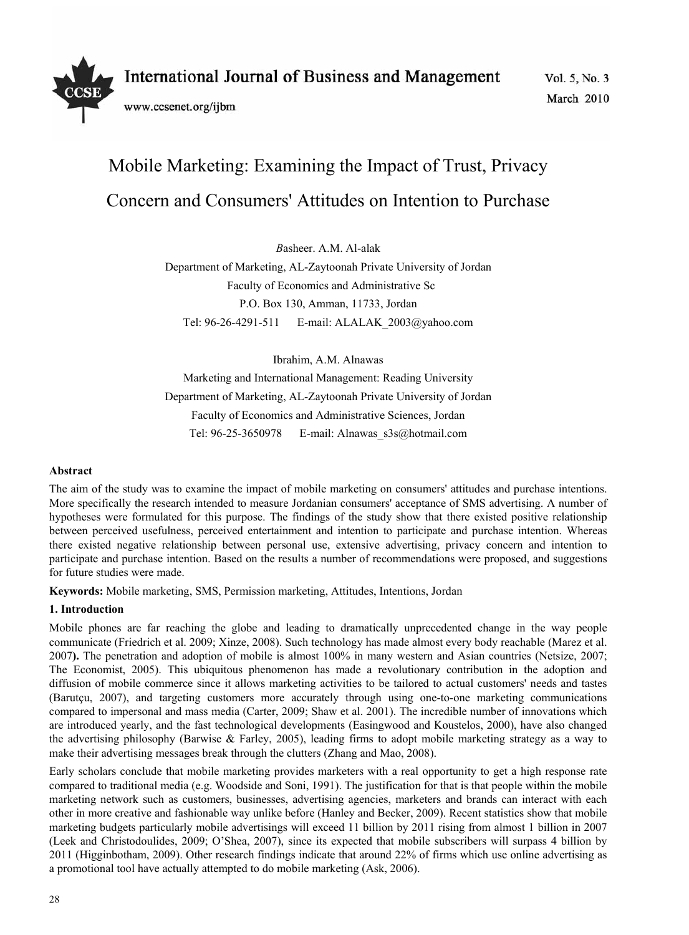

# Mobile Marketing: Examining the Impact of Trust, Privacy Concern and Consumers' Attitudes on Intention to Purchase

Vol. 5, No. 3 *International Journal of Business and Management* 

*B*asheer. A.M. Al-alak Department of Marketing, AL-Zaytoonah Private University of Jordan Faculty of Economics and Administrative Sc P.O. Box 130, Amman, 11733, Jordan Tel: 96-26-4291-511 E-mail: ALALAK\_2003@yahoo.com

Ibrahim, A.M. Alnawas Marketing and International Management: Reading University Department of Marketing, AL-Zaytoonah Private University of Jordan Faculty of Economics and Administrative Sciences, Jordan Tel: 96-25-3650978 E-mail: Alnawas\_s3s@hotmail.com

# **Abstract**

The aim of the study was to examine the impact of mobile marketing on consumers' attitudes and purchase intentions. More specifically the research intended to measure Jordanian consumers' acceptance of SMS advertising. A number of hypotheses were formulated for this purpose. The findings of the study show that there existed positive relationship between perceived usefulness, perceived entertainment and intention to participate and purchase intention. Whereas there existed negative relationship between personal use, extensive advertising, privacy concern and intention to participate and purchase intention. Based on the results a number of recommendations were proposed, and suggestions for future studies were made.

**Keywords:** Mobile marketing, SMS, Permission marketing, Attitudes, Intentions, Jordan

# **1. Introduction**

Mobile phones are far reaching the globe and leading to dramatically unprecedented change in the way people communicate (Friedrich et al. 2009; Xinze, 2008). Such technology has made almost every body reachable (Marez et al. 2007**).** The penetration and adoption of mobile is almost 100% in many western and Asian countries (Netsize, 2007; The Economist, 2005). This ubiquitous phenomenon has made a revolutionary contribution in the adoption and diffusion of mobile commerce since it allows marketing activities to be tailored to actual customers' needs and tastes (Barutçu, 2007), and targeting customers more accurately through using one-to-one marketing communications compared to impersonal and mass media (Carter, 2009; Shaw et al. 2001). The incredible number of innovations which are introduced yearly, and the fast technological developments (Easingwood and Koustelos, 2000), have also changed the advertising philosophy (Barwise & Farley, 2005), leading firms to adopt mobile marketing strategy as a way to make their advertising messages break through the clutters (Zhang and Mao, 2008).

Early scholars conclude that mobile marketing provides marketers with a real opportunity to get a high response rate compared to traditional media (e.g. Woodside and Soni, 1991). The justification for that is that people within the mobile marketing network such as customers, businesses, advertising agencies, marketers and brands can interact with each other in more creative and fashionable way unlike before (Hanley and Becker, 2009). Recent statistics show that mobile marketing budgets particularly mobile advertisings will exceed 11 billion by 2011 rising from almost 1 billion in 2007 (Leek and Christodoulides, 2009; O'Shea, 2007), since its expected that mobile subscribers will surpass 4 billion by 2011 (Higginbotham, 2009). Other research findings indicate that around 22% of firms which use online advertising as a promotional tool have actually attempted to do mobile marketing (Ask, 2006).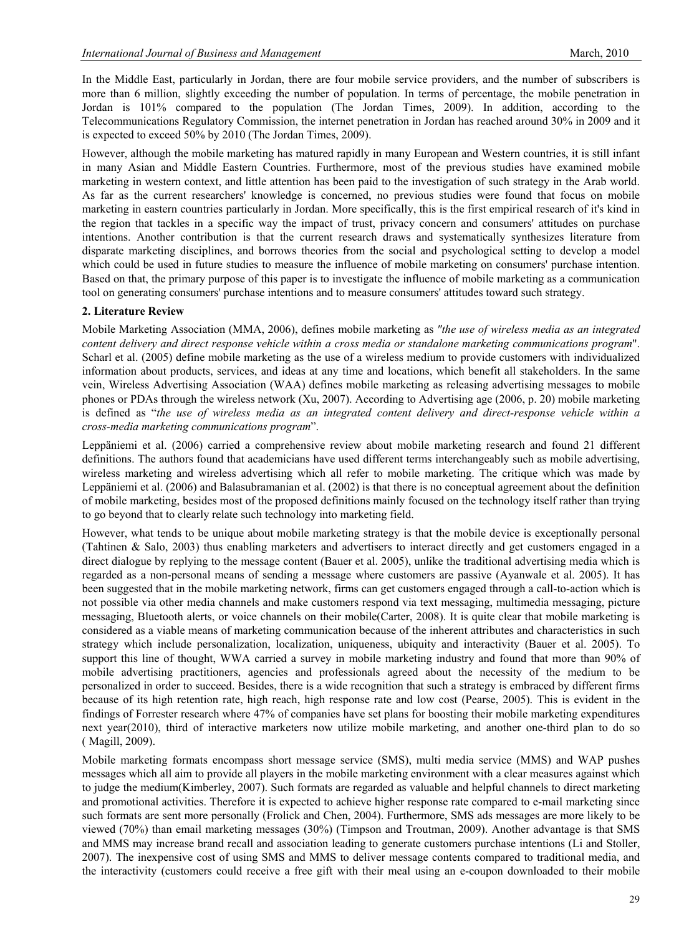In the Middle East, particularly in Jordan, there are four mobile service providers, and the number of subscribers is more than 6 million, slightly exceeding the number of population. In terms of percentage, the mobile penetration in Jordan is 101% compared to the population (The Jordan Times, 2009). In addition, according to the Telecommunications Regulatory Commission, the internet penetration in Jordan has reached around 30% in 2009 and it is expected to exceed 50% by 2010 (The Jordan Times, 2009).

However, although the mobile marketing has matured rapidly in many European and Western countries, it is still infant in many Asian and Middle Eastern Countries. Furthermore, most of the previous studies have examined mobile marketing in western context, and little attention has been paid to the investigation of such strategy in the Arab world. As far as the current researchers' knowledge is concerned, no previous studies were found that focus on mobile marketing in eastern countries particularly in Jordan. More specifically, this is the first empirical research of it's kind in the region that tackles in a specific way the impact of trust, privacy concern and consumers' attitudes on purchase intentions. Another contribution is that the current research draws and systematically synthesizes literature from disparate marketing disciplines, and borrows theories from the social and psychological setting to develop a model which could be used in future studies to measure the influence of mobile marketing on consumers' purchase intention. Based on that, the primary purpose of this paper is to investigate the influence of mobile marketing as a communication tool on generating consumers' purchase intentions and to measure consumers' attitudes toward such strategy.

# **2. Literature Review**

Mobile Marketing Association (MMA, 2006), defines mobile marketing as *"the use of wireless media as an integrated content delivery and direct response vehicle within a cross media or standalone marketing communications program*". Scharl et al. (2005) define mobile marketing as the use of a wireless medium to provide customers with individualized information about products, services, and ideas at any time and locations, which benefit all stakeholders. In the same vein, Wireless Advertising Association (WAA) defines mobile marketing as releasing advertising messages to mobile phones or PDAs through the wireless network (Xu, 2007). According to Advertising age (2006, p. 20) mobile marketing is defined as "*the use of wireless media as an integrated content delivery and direct-response vehicle within a cross-media marketing communications program*".

Leppäniemi et al. (2006) carried a comprehensive review about mobile marketing research and found 21 different definitions. The authors found that academicians have used different terms interchangeably such as mobile advertising, wireless marketing and wireless advertising which all refer to mobile marketing. The critique which was made by Leppäniemi et al. (2006) and Balasubramanian et al. (2002) is that there is no conceptual agreement about the definition of mobile marketing, besides most of the proposed definitions mainly focused on the technology itself rather than trying to go beyond that to clearly relate such technology into marketing field.

However, what tends to be unique about mobile marketing strategy is that the mobile device is exceptionally personal (Tahtinen & Salo, 2003) thus enabling marketers and advertisers to interact directly and get customers engaged in a direct dialogue by replying to the message content (Bauer et al. 2005), unlike the traditional advertising media which is regarded as a non-personal means of sending a message where customers are passive (Ayanwale et al. 2005). It has been suggested that in the mobile marketing network, firms can get customers engaged through a call-to-action which is not possible via other media channels and make customers respond via text messaging, multimedia messaging, picture messaging, Bluetooth alerts, or voice channels on their mobile(Carter, 2008). It is quite clear that mobile marketing is considered as a viable means of marketing communication because of the inherent attributes and characteristics in such strategy which include personalization, localization, uniqueness, ubiquity and interactivity (Bauer et al. 2005). To support this line of thought, WWA carried a survey in mobile marketing industry and found that more than 90% of mobile advertising practitioners, agencies and professionals agreed about the necessity of the medium to be personalized in order to succeed. Besides, there is a wide recognition that such a strategy is embraced by different firms because of its high retention rate, high reach, high response rate and low cost (Pearse, 2005). This is evident in the findings of Forrester research where 47% of companies have set plans for boosting their mobile marketing expenditures next year(2010), third of interactive marketers now utilize mobile marketing, and another one-third plan to do so ( Magill, 2009).

Mobile marketing formats encompass short message service (SMS), multi media service (MMS) and WAP pushes messages which all aim to provide all players in the mobile marketing environment with a clear measures against which to judge the medium(Kimberley, 2007). Such formats are regarded as valuable and helpful channels to direct marketing and promotional activities. Therefore it is expected to achieve higher response rate compared to e-mail marketing since such formats are sent more personally (Frolick and Chen, 2004). Furthermore, SMS ads messages are more likely to be viewed (70%) than email marketing messages (30%) (Timpson and Troutman, 2009). Another advantage is that SMS and MMS may increase brand recall and association leading to generate customers purchase intentions (Li and Stoller, 2007). The inexpensive cost of using SMS and MMS to deliver message contents compared to traditional media, and the interactivity (customers could receive a free gift with their meal using an e-coupon downloaded to their mobile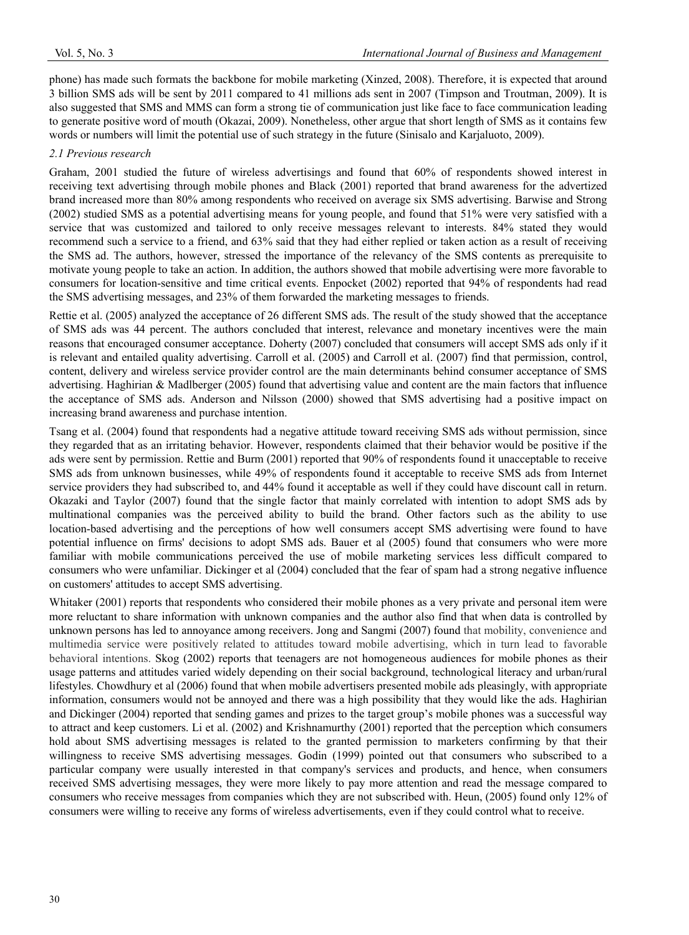phone) has made such formats the backbone for mobile marketing (Xinzed, 2008). Therefore, it is expected that around 3 billion SMS ads will be sent by 2011 compared to 41 millions ads sent in 2007 (Timpson and Troutman, 2009). It is also suggested that SMS and MMS can form a strong tie of communication just like face to face communication leading to generate positive word of mouth (Okazai, 2009). Nonetheless, other argue that short length of SMS as it contains few words or numbers will limit the potential use of such strategy in the future (Sinisalo and Karjaluoto, 2009).

# *2.1 Previous research*

Graham, 2001 studied the future of wireless advertisings and found that 60% of respondents showed interest in receiving text advertising through mobile phones and Black (2001) reported that brand awareness for the advertized brand increased more than 80% among respondents who received on average six SMS advertising. Barwise and Strong (2002) studied SMS as a potential advertising means for young people, and found that 51% were very satisfied with a service that was customized and tailored to only receive messages relevant to interests. 84% stated they would recommend such a service to a friend, and 63% said that they had either replied or taken action as a result of receiving the SMS ad. The authors, however, stressed the importance of the relevancy of the SMS contents as prerequisite to motivate young people to take an action. In addition, the authors showed that mobile advertising were more favorable to consumers for location-sensitive and time critical events. Enpocket (2002) reported that 94% of respondents had read the SMS advertising messages, and 23% of them forwarded the marketing messages to friends.

Rettie et al. (2005) analyzed the acceptance of 26 different SMS ads. The result of the study showed that the acceptance of SMS ads was 44 percent. The authors concluded that interest, relevance and monetary incentives were the main reasons that encouraged consumer acceptance. Doherty (2007) concluded that consumers will accept SMS ads only if it is relevant and entailed quality advertising. Carroll et al. (2005) and Carroll et al. (2007) find that permission, control, content, delivery and wireless service provider control are the main determinants behind consumer acceptance of SMS advertising. Haghirian & Madlberger (2005) found that advertising value and content are the main factors that influence the acceptance of SMS ads. Anderson and Nilsson (2000) showed that SMS advertising had a positive impact on increasing brand awareness and purchase intention.

Tsang et al. (2004) found that respondents had a negative attitude toward receiving SMS ads without permission, since they regarded that as an irritating behavior. However, respondents claimed that their behavior would be positive if the ads were sent by permission. Rettie and Burm (2001) reported that 90% of respondents found it unacceptable to receive SMS ads from unknown businesses, while 49% of respondents found it acceptable to receive SMS ads from Internet service providers they had subscribed to, and 44% found it acceptable as well if they could have discount call in return. Okazaki and Taylor (2007) found that the single factor that mainly correlated with intention to adopt SMS ads by multinational companies was the perceived ability to build the brand. Other factors such as the ability to use location-based advertising and the perceptions of how well consumers accept SMS advertising were found to have potential influence on firms' decisions to adopt SMS ads. Bauer et al (2005) found that consumers who were more familiar with mobile communications perceived the use of mobile marketing services less difficult compared to consumers who were unfamiliar. Dickinger et al (2004) concluded that the fear of spam had a strong negative influence on customers' attitudes to accept SMS advertising.

Whitaker (2001) reports that respondents who considered their mobile phones as a very private and personal item were more reluctant to share information with unknown companies and the author also find that when data is controlled by unknown persons has led to annoyance among receivers. Jong and Sangmi (2007) found that mobility, convenience and multimedia service were positively related to attitudes toward mobile advertising, which in turn lead to favorable behavioral intentions. Skog (2002) reports that teenagers are not homogeneous audiences for mobile phones as their usage patterns and attitudes varied widely depending on their social background, technological literacy and urban/rural lifestyles. Chowdhury et al (2006) found that when mobile advertisers presented mobile ads pleasingly, with appropriate information, consumers would not be annoyed and there was a high possibility that they would like the ads. Haghirian and Dickinger (2004) reported that sending games and prizes to the target group's mobile phones was a successful way to attract and keep customers. Li et al. (2002) and Krishnamurthy (2001) reported that the perception which consumers hold about SMS advertising messages is related to the granted permission to marketers confirming by that their willingness to receive SMS advertising messages. Godin (1999) pointed out that consumers who subscribed to a particular company were usually interested in that company's services and products, and hence, when consumers received SMS advertising messages, they were more likely to pay more attention and read the message compared to consumers who receive messages from companies which they are not subscribed with. Heun, (2005) found only 12% of consumers were willing to receive any forms of wireless advertisements, even if they could control what to receive.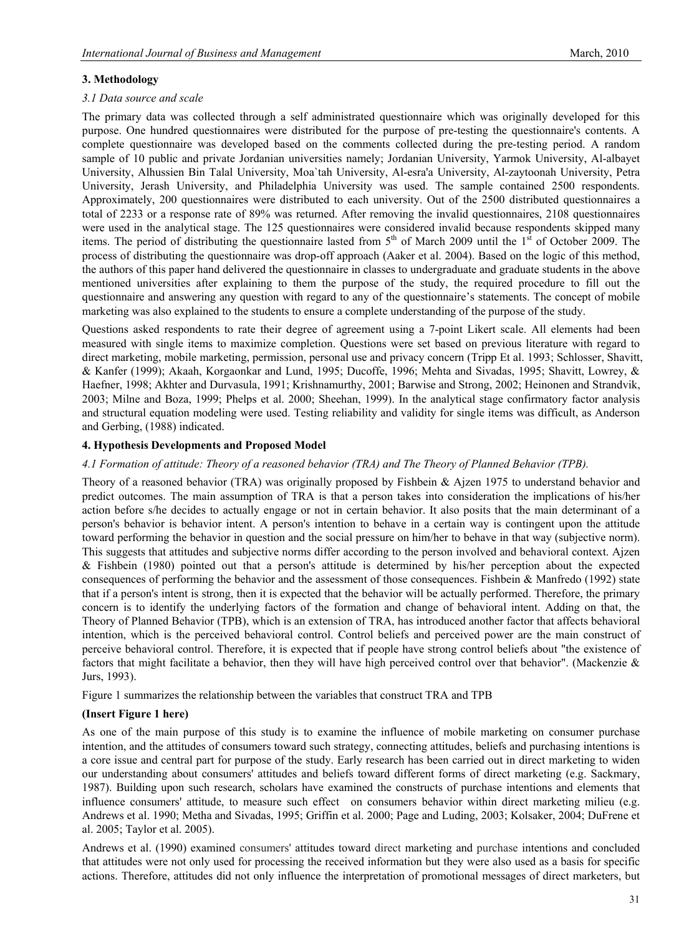# **3. Methodology**

#### *3.1 Data source and scale*

The primary data was collected through a self administrated questionnaire which was originally developed for this purpose. One hundred questionnaires were distributed for the purpose of pre-testing the questionnaire's contents. A complete questionnaire was developed based on the comments collected during the pre-testing period. A random sample of 10 public and private Jordanian universities namely; Jordanian University, Yarmok University, Al-albayet University, Alhussien Bin Talal University, Moa`tah University, Al-esra'a University, Al-zaytoonah University, Petra University, Jerash University, and Philadelphia University was used. The sample contained 2500 respondents. Approximately, 200 questionnaires were distributed to each university. Out of the 2500 distributed questionnaires a total of 2233 or a response rate of 89% was returned. After removing the invalid questionnaires, 2108 questionnaires were used in the analytical stage. The 125 questionnaires were considered invalid because respondents skipped many items. The period of distributing the questionnaire lasted from  $5<sup>th</sup>$  of March 2009 until the  $1<sup>st</sup>$  of October 2009. The process of distributing the questionnaire was drop-off approach (Aaker et al. 2004). Based on the logic of this method, the authors of this paper hand delivered the questionnaire in classes to undergraduate and graduate students in the above mentioned universities after explaining to them the purpose of the study, the required procedure to fill out the questionnaire and answering any question with regard to any of the questionnaire's statements. The concept of mobile marketing was also explained to the students to ensure a complete understanding of the purpose of the study.

Questions asked respondents to rate their degree of agreement using a 7-point Likert scale. All elements had been measured with single items to maximize completion. Questions were set based on previous literature with regard to direct marketing, mobile marketing, permission, personal use and privacy concern (Tripp Et al. 1993; Schlosser, Shavitt, & Kanfer (1999); Akaah, Korgaonkar and Lund, 1995; Ducoffe, 1996; Mehta and Sivadas, 1995; Shavitt, Lowrey, & Haefner, 1998; Akhter and Durvasula, 1991; Krishnamurthy, 2001; Barwise and Strong, 2002; Heinonen and Strandvik, 2003; Milne and Boza, 1999; Phelps et al. 2000; Sheehan, 1999). In the analytical stage confirmatory factor analysis and structural equation modeling were used. Testing reliability and validity for single items was difficult, as Anderson and Gerbing, (1988) indicated.

#### **4. Hypothesis Developments and Proposed Model**

#### *4.1 Formation of attitude: Theory of a reasoned behavior (TRA) and The Theory of Planned Behavior (TPB).*

Theory of a reasoned behavior (TRA) was originally proposed by Fishbein & Ajzen 1975 to understand behavior and predict outcomes. The main assumption of TRA is that a person takes into consideration the implications of his/her action before s/he decides to actually engage or not in certain behavior. It also posits that the main determinant of a person's behavior is behavior intent. A person's intention to behave in a certain way is contingent upon the attitude toward performing the behavior in question and the social pressure on him/her to behave in that way (subjective norm). This suggests that attitudes and subjective norms differ according to the person involved and behavioral context. Ajzen & Fishbein (1980) pointed out that a person's attitude is determined by his/her perception about the expected consequences of performing the behavior and the assessment of those consequences. Fishbein & Manfredo (1992) state that if a person's intent is strong, then it is expected that the behavior will be actually performed. Therefore, the primary concern is to identify the underlying factors of the formation and change of behavioral intent. Adding on that, the Theory of Planned Behavior (TPB), which is an extension of TRA, has introduced another factor that affects behavioral intention, which is the perceived behavioral control. Control beliefs and perceived power are the main construct of perceive behavioral control. Therefore, it is expected that if people have strong control beliefs about "the existence of factors that might facilitate a behavior, then they will have high perceived control over that behavior". (Mackenzie & Jurs, 1993).

Figure 1 summarizes the relationship between the variables that construct TRA and TPB

#### **(Insert Figure 1 here)**

As one of the main purpose of this study is to examine the influence of mobile marketing on consumer purchase intention, and the attitudes of consumers toward such strategy, connecting attitudes, beliefs and purchasing intentions is a core issue and central part for purpose of the study. Early research has been carried out in direct marketing to widen our understanding about consumers' attitudes and beliefs toward different forms of direct marketing (e.g. Sackmary, 1987). Building upon such research, scholars have examined the constructs of purchase intentions and elements that influence consumers' attitude, to measure such effect on consumers behavior within direct marketing milieu (e.g. Andrews et al. 1990; Metha and Sivadas, 1995; Griffin et al. 2000; Page and Luding, 2003; Kolsaker, 2004; DuFrene et al. 2005; Taylor et al. 2005).

Andrews et al. (1990) examined consumers' attitudes toward direct marketing and purchase intentions and concluded that attitudes were not only used for processing the received information but they were also used as a basis for specific actions. Therefore, attitudes did not only influence the interpretation of promotional messages of direct marketers, but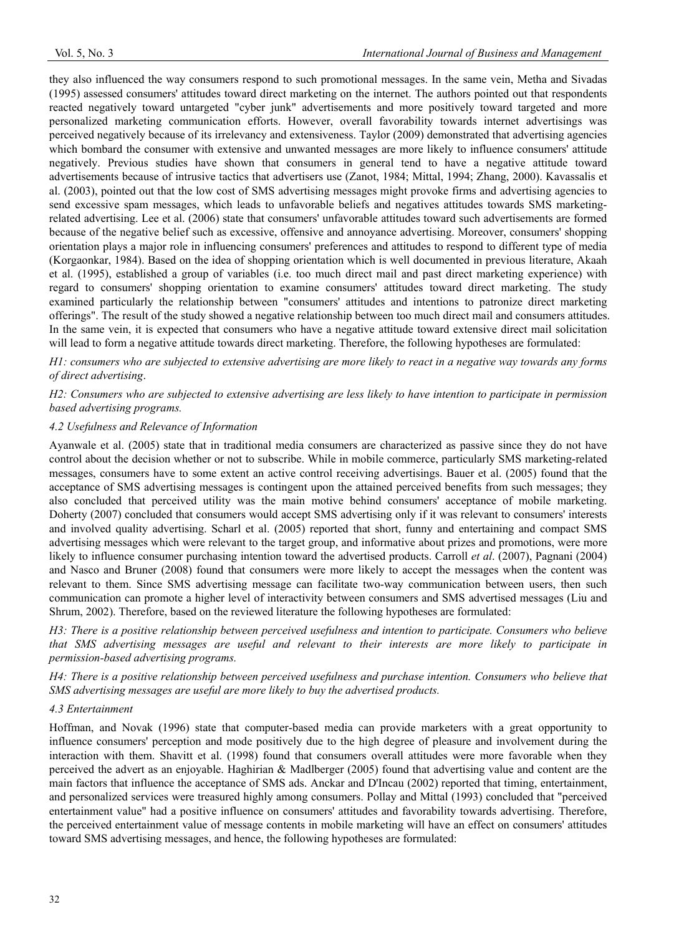they also influenced the way consumers respond to such promotional messages. In the same vein, Metha and Sivadas (1995) assessed consumers' attitudes toward direct marketing on the internet. The authors pointed out that respondents reacted negatively toward untargeted "cyber junk" advertisements and more positively toward targeted and more personalized marketing communication efforts. However, overall favorability towards internet advertisings was perceived negatively because of its irrelevancy and extensiveness. Taylor (2009) demonstrated that advertising agencies which bombard the consumer with extensive and unwanted messages are more likely to influence consumers' attitude negatively. Previous studies have shown that consumers in general tend to have a negative attitude toward advertisements because of intrusive tactics that advertisers use (Zanot, 1984; Mittal, 1994; Zhang, 2000). Kavassalis et al. (2003), pointed out that the low cost of SMS advertising messages might provoke firms and advertising agencies to send excessive spam messages, which leads to unfavorable beliefs and negatives attitudes towards SMS marketingrelated advertising. Lee et al. (2006) state that consumers' unfavorable attitudes toward such advertisements are formed because of the negative belief such as excessive, offensive and annoyance advertising. Moreover, consumers' shopping orientation plays a major role in influencing consumers' preferences and attitudes to respond to different type of media (Korgaonkar, 1984). Based on the idea of shopping orientation which is well documented in previous literature, Akaah et al. (1995), established a group of variables (i.e. too much direct mail and past direct marketing experience) with regard to consumers' shopping orientation to examine consumers' attitudes toward direct marketing. The study examined particularly the relationship between "consumers' attitudes and intentions to patronize direct marketing offerings". The result of the study showed a negative relationship between too much direct mail and consumers attitudes. In the same vein, it is expected that consumers who have a negative attitude toward extensive direct mail solicitation will lead to form a negative attitude towards direct marketing. Therefore, the following hypotheses are formulated:

*H1: consumers who are subjected to extensive advertising are more likely to react in a negative way towards any forms of direct advertising*.

# *H2: Consumers who are subjected to extensive advertising are less likely to have intention to participate in permission based advertising programs.*

# *4.2 Usefulness and Relevance of Information*

Ayanwale et al. (2005) state that in traditional media consumers are characterized as passive since they do not have control about the decision whether or not to subscribe. While in mobile commerce, particularly SMS marketing-related messages, consumers have to some extent an active control receiving advertisings. Bauer et al. (2005) found that the acceptance of SMS advertising messages is contingent upon the attained perceived benefits from such messages; they also concluded that perceived utility was the main motive behind consumers' acceptance of mobile marketing. Doherty (2007) concluded that consumers would accept SMS advertising only if it was relevant to consumers' interests and involved quality advertising. Scharl et al. (2005) reported that short, funny and entertaining and compact SMS advertising messages which were relevant to the target group, and informative about prizes and promotions, were more likely to influence consumer purchasing intention toward the advertised products. Carroll *et al*. (2007), Pagnani (2004) and Nasco and Bruner (2008) found that consumers were more likely to accept the messages when the content was relevant to them. Since SMS advertising message can facilitate two-way communication between users, then such communication can promote a higher level of interactivity between consumers and SMS advertised messages (Liu and Shrum, 2002). Therefore, based on the reviewed literature the following hypotheses are formulated:

*H3: There is a positive relationship between perceived usefulness and intention to participate. Consumers who believe that SMS advertising messages are useful and relevant to their interests are more likely to participate in permission-based advertising programs.* 

*H4: There is a positive relationship between perceived usefulness and purchase intention. Consumers who believe that SMS advertising messages are useful are more likely to buy the advertised products.* 

# *4.3 Entertainment*

Hoffman, and Novak (1996) state that computer-based media can provide marketers with a great opportunity to influence consumers' perception and mode positively due to the high degree of pleasure and involvement during the interaction with them. Shavitt et al. (1998) found that consumers overall attitudes were more favorable when they perceived the advert as an enjoyable. Haghirian & Madlberger (2005) found that advertising value and content are the main factors that influence the acceptance of SMS ads. Anckar and D'Incau (2002) reported that timing, entertainment, and personalized services were treasured highly among consumers. Pollay and Mittal (1993) concluded that "perceived entertainment value" had a positive influence on consumers' attitudes and favorability towards advertising. Therefore, the perceived entertainment value of message contents in mobile marketing will have an effect on consumers' attitudes toward SMS advertising messages, and hence, the following hypotheses are formulated: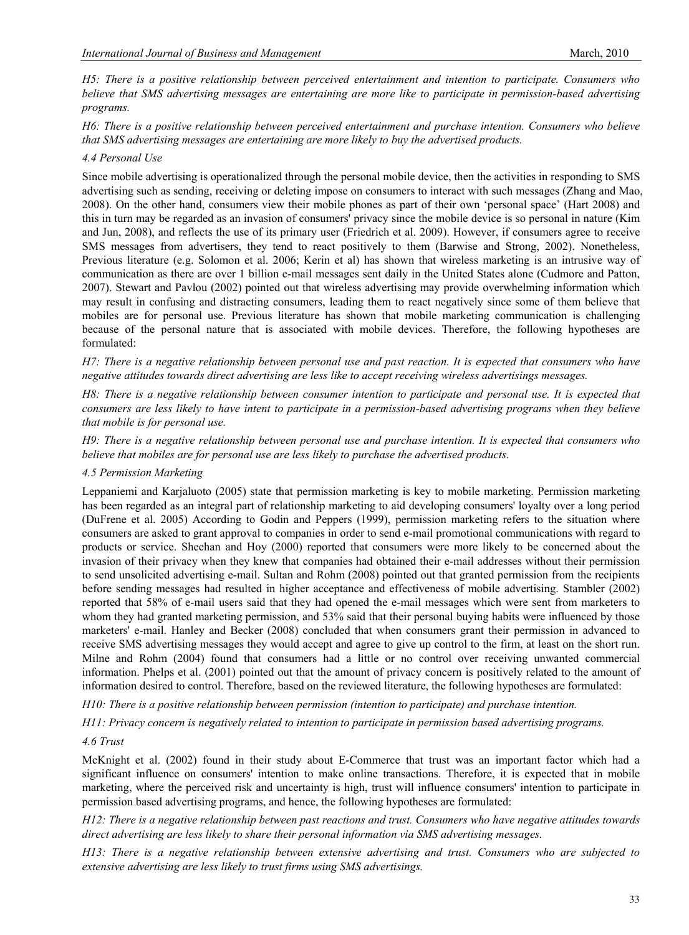*H5: There is a positive relationship between perceived entertainment and intention to participate. Consumers who believe that SMS advertising messages are entertaining are more like to participate in permission-based advertising programs.* 

*H6: There is a positive relationship between perceived entertainment and purchase intention. Consumers who believe that SMS advertising messages are entertaining are more likely to buy the advertised products.* 

# *4.4 Personal Use*

Since mobile advertising is operationalized through the personal mobile device, then the activities in responding to SMS advertising such as sending, receiving or deleting impose on consumers to interact with such messages (Zhang and Mao, 2008). On the other hand, consumers view their mobile phones as part of their own 'personal space' (Hart 2008) and this in turn may be regarded as an invasion of consumers' privacy since the mobile device is so personal in nature (Kim and Jun, 2008), and reflects the use of its primary user (Friedrich et al. 2009). However, if consumers agree to receive SMS messages from advertisers, they tend to react positively to them (Barwise and Strong, 2002). Nonetheless, Previous literature (e.g. Solomon et al. 2006; Kerin et al) has shown that wireless marketing is an intrusive way of communication as there are over 1 billion e-mail messages sent daily in the United States alone (Cudmore and Patton, 2007). Stewart and Pavlou (2002) pointed out that wireless advertising may provide overwhelming information which may result in confusing and distracting consumers, leading them to react negatively since some of them believe that mobiles are for personal use. Previous literature has shown that mobile marketing communication is challenging because of the personal nature that is associated with mobile devices. Therefore, the following hypotheses are formulated:

*H7: There is a negative relationship between personal use and past reaction. It is expected that consumers who have negative attitudes towards direct advertising are less like to accept receiving wireless advertisings messages.* 

*H8: There is a negative relationship between consumer intention to participate and personal use. It is expected that consumers are less likely to have intent to participate in a permission-based advertising programs when they believe that mobile is for personal use.* 

*H9: There is a negative relationship between personal use and purchase intention. It is expected that consumers who believe that mobiles are for personal use are less likely to purchase the advertised products.* 

# *4.5 Permission Marketing*

Leppaniemi and Karjaluoto (2005) state that permission marketing is key to mobile marketing. Permission marketing has been regarded as an integral part of relationship marketing to aid developing consumers' loyalty over a long period (DuFrene et al. 2005) According to Godin and Peppers (1999), permission marketing refers to the situation where consumers are asked to grant approval to companies in order to send e-mail promotional communications with regard to products or service. Sheehan and Hoy (2000) reported that consumers were more likely to be concerned about the invasion of their privacy when they knew that companies had obtained their e-mail addresses without their permission to send unsolicited advertising e-mail. Sultan and Rohm (2008) pointed out that granted permission from the recipients before sending messages had resulted in higher acceptance and effectiveness of mobile advertising. Stambler (2002) reported that 58% of e-mail users said that they had opened the e-mail messages which were sent from marketers to whom they had granted marketing permission, and 53% said that their personal buying habits were influenced by those marketers' e-mail. Hanley and Becker (2008) concluded that when consumers grant their permission in advanced to receive SMS advertising messages they would accept and agree to give up control to the firm, at least on the short run. Milne and Rohm (2004) found that consumers had a little or no control over receiving unwanted commercial information. Phelps et al. (2001) pointed out that the amount of privacy concern is positively related to the amount of information desired to control. Therefore, based on the reviewed literature, the following hypotheses are formulated:

*H10: There is a positive relationship between permission (intention to participate) and purchase intention.* 

*H11: Privacy concern is negatively related to intention to participate in permission based advertising programs.* 

#### *4.6 Trust*

McKnight et al. (2002) found in their study about E-Commerce that trust was an important factor which had a significant influence on consumers' intention to make online transactions. Therefore, it is expected that in mobile marketing, where the perceived risk and uncertainty is high, trust will influence consumers' intention to participate in permission based advertising programs, and hence, the following hypotheses are formulated:

*H12: There is a negative relationship between past reactions and trust. Consumers who have negative attitudes towards direct advertising are less likely to share their personal information via SMS advertising messages.* 

*H13: There is a negative relationship between extensive advertising and trust. Consumers who are subjected to extensive advertising are less likely to trust firms using SMS advertisings.*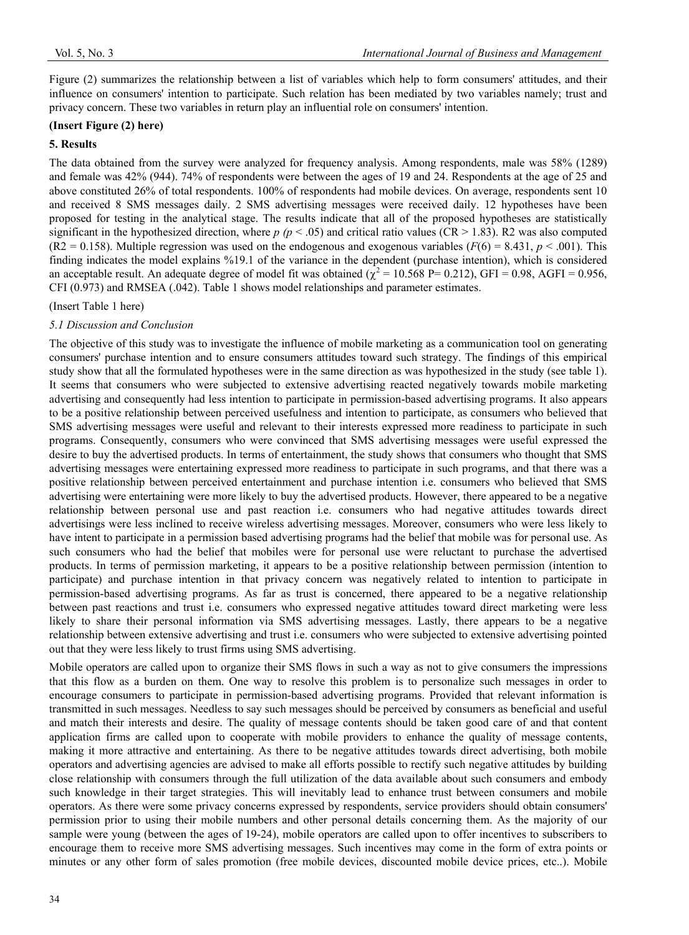Figure (2) summarizes the relationship between a list of variables which help to form consumers' attitudes, and their influence on consumers' intention to participate. Such relation has been mediated by two variables namely; trust and privacy concern. These two variables in return play an influential role on consumers' intention.

#### **(Insert Figure (2) here)**

#### **5. Results**

The data obtained from the survey were analyzed for frequency analysis. Among respondents, male was 58% (1289) and female was 42% (944). 74% of respondents were between the ages of 19 and 24. Respondents at the age of 25 and above constituted 26% of total respondents. 100% of respondents had mobile devices. On average, respondents sent 10 and received 8 SMS messages daily. 2 SMS advertising messages were received daily. 12 hypotheses have been proposed for testing in the analytical stage. The results indicate that all of the proposed hypotheses are statistically significant in the hypothesized direction, where  $p (p < .05)$  and critical ratio values (CR > 1.83). R2 was also computed  $(R2 = 0.158)$ . Multiple regression was used on the endogenous and exogenous variables  $(F(6) = 8.431, p < .001)$ . This finding indicates the model explains %19.1 of the variance in the dependent (purchase intention), which is considered an acceptable result. An adequate degree of model fit was obtained ( $\chi^2$  = 10.568 P= 0.212), GFI = 0.98, AGFI = 0.956, CFI (0.973) and RMSEA (.042). Table 1 shows model relationships and parameter estimates.

(Insert Table 1 here)

#### *5.1 Discussion and Conclusion*

The objective of this study was to investigate the influence of mobile marketing as a communication tool on generating consumers' purchase intention and to ensure consumers attitudes toward such strategy. The findings of this empirical study show that all the formulated hypotheses were in the same direction as was hypothesized in the study (see table 1). It seems that consumers who were subjected to extensive advertising reacted negatively towards mobile marketing advertising and consequently had less intention to participate in permission-based advertising programs. It also appears to be a positive relationship between perceived usefulness and intention to participate, as consumers who believed that SMS advertising messages were useful and relevant to their interests expressed more readiness to participate in such programs. Consequently, consumers who were convinced that SMS advertising messages were useful expressed the desire to buy the advertised products. In terms of entertainment, the study shows that consumers who thought that SMS advertising messages were entertaining expressed more readiness to participate in such programs, and that there was a positive relationship between perceived entertainment and purchase intention i.e. consumers who believed that SMS advertising were entertaining were more likely to buy the advertised products. However, there appeared to be a negative relationship between personal use and past reaction i.e. consumers who had negative attitudes towards direct advertisings were less inclined to receive wireless advertising messages. Moreover, consumers who were less likely to have intent to participate in a permission based advertising programs had the belief that mobile was for personal use. As such consumers who had the belief that mobiles were for personal use were reluctant to purchase the advertised products. In terms of permission marketing, it appears to be a positive relationship between permission (intention to participate) and purchase intention in that privacy concern was negatively related to intention to participate in permission-based advertising programs. As far as trust is concerned, there appeared to be a negative relationship between past reactions and trust i.e. consumers who expressed negative attitudes toward direct marketing were less likely to share their personal information via SMS advertising messages. Lastly, there appears to be a negative relationship between extensive advertising and trust i.e. consumers who were subjected to extensive advertising pointed out that they were less likely to trust firms using SMS advertising.

Mobile operators are called upon to organize their SMS flows in such a way as not to give consumers the impressions that this flow as a burden on them. One way to resolve this problem is to personalize such messages in order to encourage consumers to participate in permission-based advertising programs. Provided that relevant information is transmitted in such messages. Needless to say such messages should be perceived by consumers as beneficial and useful and match their interests and desire. The quality of message contents should be taken good care of and that content application firms are called upon to cooperate with mobile providers to enhance the quality of message contents, making it more attractive and entertaining. As there to be negative attitudes towards direct advertising, both mobile operators and advertising agencies are advised to make all efforts possible to rectify such negative attitudes by building close relationship with consumers through the full utilization of the data available about such consumers and embody such knowledge in their target strategies. This will inevitably lead to enhance trust between consumers and mobile operators. As there were some privacy concerns expressed by respondents, service providers should obtain consumers' permission prior to using their mobile numbers and other personal details concerning them. As the majority of our sample were young (between the ages of 19-24), mobile operators are called upon to offer incentives to subscribers to encourage them to receive more SMS advertising messages. Such incentives may come in the form of extra points or minutes or any other form of sales promotion (free mobile devices, discounted mobile device prices, etc..). Mobile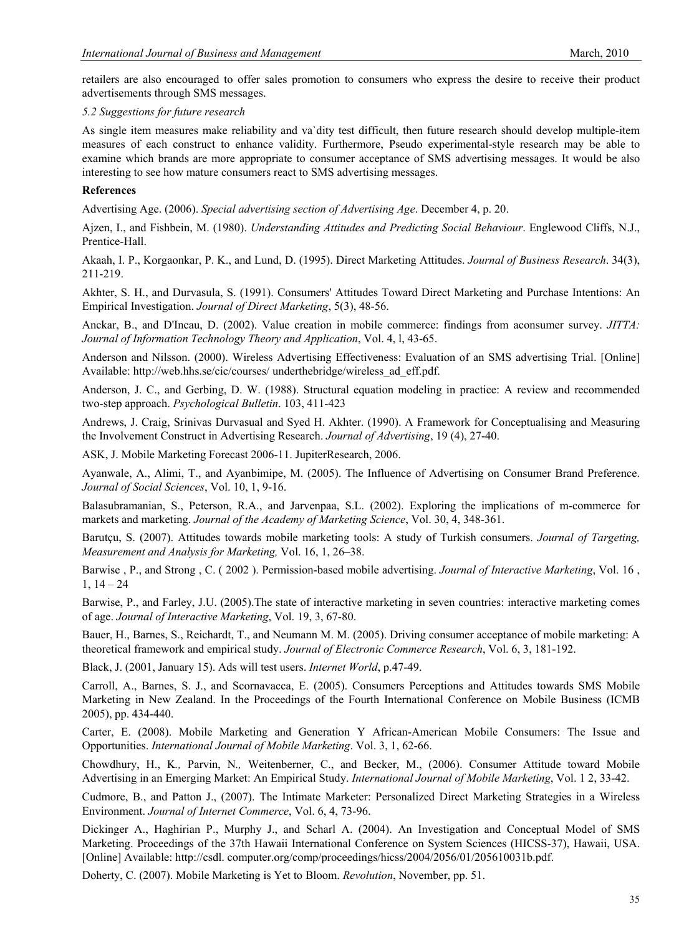retailers are also encouraged to offer sales promotion to consumers who express the desire to receive their product advertisements through SMS messages.

#### *5.2 Suggestions for future research*

As single item measures make reliability and va`dity test difficult, then future research should develop multiple-item measures of each construct to enhance validity. Furthermore, Pseudo experimental-style research may be able to examine which brands are more appropriate to consumer acceptance of SMS advertising messages. It would be also interesting to see how mature consumers react to SMS advertising messages.

#### **References**

Advertising Age. (2006). *Special advertising section of Advertising Age*. December 4, p. 20.

Ajzen, I., and Fishbein, M. (1980). *Understanding Attitudes and Predicting Social Behaviour*. Englewood Cliffs, N.J., Prentice-Hall.

Akaah, I. P., Korgaonkar, P. K., and Lund, D. (1995). Direct Marketing Attitudes. *Journal of Business Research*. 34(3), 211-219.

Akhter, S. H., and Durvasula, S. (1991). Consumers' Attitudes Toward Direct Marketing and Purchase Intentions: An Empirical Investigation. *Journal of Direct Marketing*, 5(3), 48-56.

Anckar, B., and D'Incau, D. (2002). Value creation in mobile commerce: findings from aconsumer survey. *JITTA: Journal of Information Technology Theory and Application*, Vol. 4, l, 43-65.

Anderson and Nilsson. (2000). Wireless Advertising Effectiveness: Evaluation of an SMS advertising Trial. [Online] Available: http://web.hhs.se/cic/courses/ underthebridge/wireless\_ad\_eff.pdf.

Anderson, J. C., and Gerbing, D. W. (1988). Structural equation modeling in practice: A review and recommended two-step approach. *Psychological Bulletin*. 103, 411-423

Andrews, J. Craig, Srinivas Durvasual and Syed H. Akhter. (1990). A Framework for Conceptualising and Measuring the Involvement Construct in Advertising Research. *Journal of Advertising*, 19 (4), 27-40.

ASK, J. Mobile Marketing Forecast 2006-11. JupiterResearch, 2006.

Ayanwale, A., Alimi, T., and Ayanbimipe, M. (2005). The Influence of Advertising on Consumer Brand Preference. *Journal of Social Sciences*, Vol. 10, 1, 9-16.

Balasubramanian, S., Peterson, R.A., and Jarvenpaa, S.L. (2002). Exploring the implications of m-commerce for markets and marketing. *Journal of the Academy of Marketing Science*, Vol. 30, 4, 348-361.

Barutçu, S. (2007). Attitudes towards mobile marketing tools: A study of Turkish consumers. *Journal of Targeting, Measurement and Analysis for Marketing,* Vol. 16, 1, 26–38.

Barwise , P., and Strong , C. ( 2002 ). Permission-based mobile advertising. *Journal of Interactive Marketing*, Vol. 16 ,  $1, 14 - 24$ 

Barwise, P., and Farley, J.U. (2005).The state of interactive marketing in seven countries: interactive marketing comes of age. *Journal of Interactive Marketing*, Vol. 19, 3, 67-80.

Bauer, H., Barnes, S., Reichardt, T., and Neumann M. M. (2005). Driving consumer acceptance of mobile marketing: A theoretical framework and empirical study. *Journal of Electronic Commerce Research*, Vol. 6, 3, 181-192.

Black, J. (2001, January 15). Ads will test users. *Internet World*, p.47-49.

Carroll, A., Barnes, S. J., and Scornavacca, E. (2005). Consumers Perceptions and Attitudes towards SMS Mobile Marketing in New Zealand. In the Proceedings of the Fourth International Conference on Mobile Business (ICMB 2005), pp. 434-440.

Carter, E. (2008). Mobile Marketing and Generation Y African-American Mobile Consumers: The Issue and Opportunities. *International Journal of Mobile Marketing*. Vol. 3, 1, 62-66.

Chowdhury, H., K*.,* Parvin, N*.,* Weitenberner, C., and Becker, M., (2006). Consumer Attitude toward Mobile Advertising in an Emerging Market: An Empirical Study. *International Journal of Mobile Marketing*, Vol. 1 2, 33-42.

Cudmore, B., and Patton J., (2007). The Intimate Marketer: Personalized Direct Marketing Strategies in a Wireless Environment. *Journal of Internet Commerce*, Vol. 6, 4, 73-96.

Dickinger A., Haghirian P., Murphy J., and Scharl A. (2004). An Investigation and Conceptual Model of SMS Marketing. Proceedings of the 37th Hawaii International Conference on System Sciences (HICSS-37), Hawaii, USA. [Online] Available: http://csdl. computer.org/comp/proceedings/hicss/2004/2056/01/205610031b.pdf.

Doherty, C. (2007). Mobile Marketing is Yet to Bloom. *Revolution*, November, pp. 51.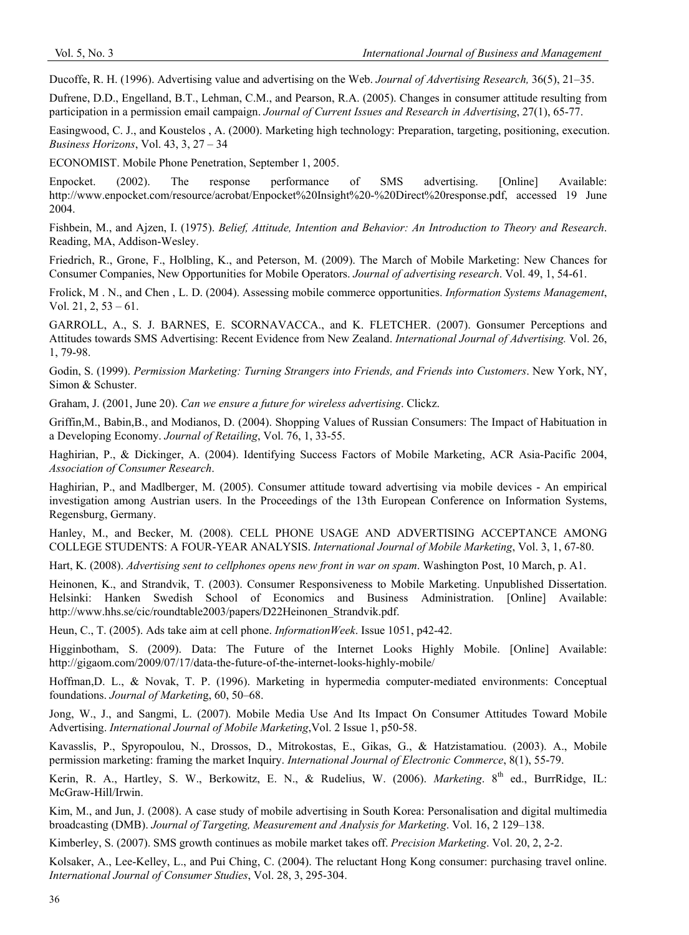Ducoffe, R. H. (1996). Advertising value and advertising on the Web. *Journal of Advertising Research,* 36(5), 21–35.

Dufrene, D.D., Engelland, B.T., Lehman, C.M., and Pearson, R.A. (2005). Changes in consumer attitude resulting from participation in a permission email campaign. *Journal of Current Issues and Research in Advertising*, 27(1), 65-77.

Easingwood, C. J., and Koustelos , A. (2000). Marketing high technology: Preparation, targeting, positioning, execution. *Business Horizons*, Vol. 43, 3, 27 – 34

ECONOMIST. Mobile Phone Penetration, September 1, 2005.

Enpocket. (2002). The response performance of SMS advertising. [Online] Available: http://www.enpocket.com/resource/acrobat/Enpocket%20Insight%20-%20Direct%20response.pdf, accessed 19 June 2004.

Fishbein, M., and Ajzen, I. (1975). *Belief, Attitude, Intention and Behavior: An Introduction to Theory and Research*. Reading, MA, Addison-Wesley.

Friedrich, R., Grone, F., Holbling, K., and Peterson, M. (2009). The March of Mobile Marketing: New Chances for Consumer Companies, New Opportunities for Mobile Operators. *Journal of advertising research*. Vol. 49, 1, 54-61.

Frolick, M . N., and Chen , L. D. (2004). Assessing mobile commerce opportunities. *Information Systems Management*, Vol. 21, 2, 53 – 61.

GARROLL, A., S. J. BARNES, E. SCORNAVACCA., and K. FLETCHER. (2007). Gonsumer Perceptions and Attitudes towards SMS Advertising: Recent Evidence from New Zealand. *International Journal of Advertising.* Vol. 26, 1, 79-98.

Godin, S. (1999). *Permission Marketing: Turning Strangers into Friends, and Friends into Customers*. New York, NY, Simon & Schuster.

Graham, J. (2001, June 20). *Can we ensure a future for wireless advertising*. Clickz.

Griffin,M., Babin,B., and Modianos, D. (2004). Shopping Values of Russian Consumers: The Impact of Habituation in a Developing Economy. *Journal of Retailing*, Vol. 76, 1, 33-55.

Haghirian, P., & Dickinger, A. (2004). Identifying Success Factors of Mobile Marketing, ACR Asia-Pacific 2004, *Association of Consumer Research*.

Haghirian, P., and Madlberger, M. (2005). Consumer attitude toward advertising via mobile devices - An empirical investigation among Austrian users. In the Proceedings of the 13th European Conference on Information Systems, Regensburg, Germany.

Hanley, M., and Becker, M. (2008). CELL PHONE USAGE AND ADVERTISING ACCEPTANCE AMONG COLLEGE STUDENTS: A FOUR-YEAR ANALYSIS. *International Journal of Mobile Marketing*, Vol. 3, 1, 67-80.

Hart, K. (2008). *Advertising sent to cellphones opens new front in war on spam*. Washington Post, 10 March, p. A1.

Heinonen, K., and Strandvik, T. (2003). Consumer Responsiveness to Mobile Marketing. Unpublished Dissertation. Helsinki: Hanken Swedish School of Economics and Business Administration. [Online] Available: http://www.hhs.se/cic/roundtable2003/papers/D22Heinonen\_Strandvik.pdf.

Heun, C., T. (2005). Ads take aim at cell phone. *InformationWeek*. Issue 1051, p42-42.

Higginbotham, S. (2009). Data: The Future of the Internet Looks Highly Mobile. [Online] Available: http://gigaom.com/2009/07/17/data-the-future-of-the-internet-looks-highly-mobile/

Hoffman,D. L., & Novak, T. P. (1996). Marketing in hypermedia computer-mediated environments: Conceptual foundations. *Journal of Marketin*g, 60, 50–68.

Jong, W., J., and Sangmi, L. (2007). Mobile Media Use And Its Impact On Consumer Attitudes Toward Mobile Advertising. *International Journal of Mobile Marketing*,Vol. 2 Issue 1, p50-58.

Kavasslis, P., Spyropoulou, N., Drossos, D., Mitrokostas, E., Gikas, G., & Hatzistamatiou. (2003). A., Mobile permission marketing: framing the market Inquiry. *International Journal of Electronic Commerce*, 8(1), 55-79.

Kerin, R. A., Hartley, S. W., Berkowitz, E. N., & Rudelius, W. (2006). *Marketing*. 8<sup>th</sup> ed., BurrRidge, IL: McGraw-Hill/Irwin.

Kim, M., and Jun, J. (2008). A case study of mobile advertising in South Korea: Personalisation and digital multimedia broadcasting (DMB). *Journal of Targeting, Measurement and Analysis for Marketing*. Vol. 16, 2 129–138.

Kimberley, S. (2007). SMS growth continues as mobile market takes off. *Precision Marketing*. Vol. 20, 2, 2-2.

Kolsaker, A., Lee-Kelley, L., and Pui Ching, C. (2004). The reluctant Hong Kong consumer: purchasing travel online. *International Journal of Consumer Studies*, Vol. 28, 3, 295-304.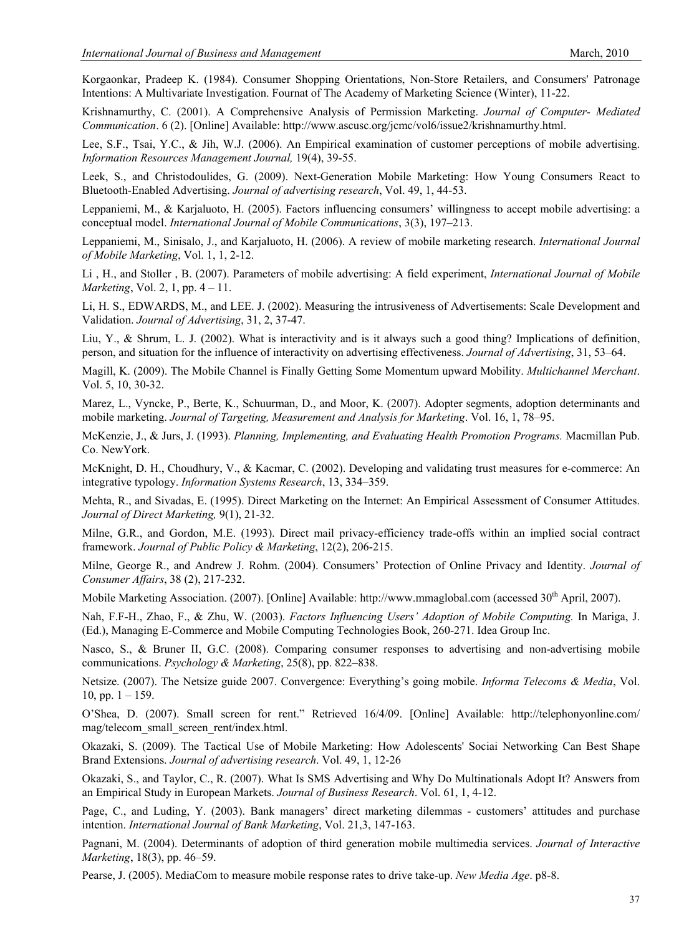Korgaonkar, Pradeep K. (1984). Consumer Shopping Orientations, Non-Store Retailers, and Consumers' Patronage Intentions: A Multivariate Investigation. Fournat of The Academy of Marketing Science (Winter), 11-22.

Krishnamurthy, C. (2001). A Comprehensive Analysis of Permission Marketing. *Journal of Computer- Mediated Communication*. 6 (2). [Online] Available: http://www.ascusc.org/jcmc/vol6/issue2/krishnamurthy.html.

Lee, S.F., Tsai, Y.C., & Jih, W.J. (2006). An Empirical examination of customer perceptions of mobile advertising. *Information Resources Management Journal,* 19(4), 39-55.

Leek, S., and Christodoulides, G. (2009). Next-Generation Mobile Marketing: How Young Consumers React to Bluetooth-Enabled Advertising. *Journal of advertising research*, Vol. 49, 1, 44-53.

Leppaniemi, M., & Karjaluoto, H. (2005). Factors influencing consumers' willingness to accept mobile advertising: a conceptual model. *International Journal of Mobile Communications*, 3(3), 197–213.

Leppaniemi, M., Sinisalo, J., and Karjaluoto, H. (2006). A review of mobile marketing research. *International Journal of Mobile Marketing*, Vol. 1, 1, 2-12.

Li , H., and Stoller , B. (2007). Parameters of mobile advertising: A field experiment, *International Journal of Mobile Marketing*, Vol. 2, 1, pp. 4 – 11.

Li, H. S., EDWARDS, M., and LEE. J. (2002). Measuring the intrusiveness of Advertisements: Scale Development and Validation. *Journal of Advertising*, 31, 2, 37-47.

Liu, Y., & Shrum, L. J. (2002). What is interactivity and is it always such a good thing? Implications of definition, person, and situation for the influence of interactivity on advertising effectiveness. *Journal of Advertising*, 31, 53–64.

Magill, K. (2009). The Mobile Channel is Finally Getting Some Momentum upward Mobility. *Multichannel Merchant*. Vol. 5, 10, 30-32.

Marez, L., Vyncke, P., Berte, K., Schuurman, D., and Moor, K. (2007). Adopter segments, adoption determinants and mobile marketing. *Journal of Targeting, Measurement and Analysis for Marketing*. Vol. 16, 1, 78–95.

McKenzie, J., & Jurs, J. (1993). *Planning, Implementing, and Evaluating Health Promotion Programs.* Macmillan Pub. Co. NewYork.

McKnight, D. H., Choudhury, V., & Kacmar, C. (2002). Developing and validating trust measures for e-commerce: An integrative typology. *Information Systems Research*, 13, 334–359.

Mehta, R., and Sivadas, E. (1995). Direct Marketing on the Internet: An Empirical Assessment of Consumer Attitudes. *Journal of Direct Marketing,* 9(1), 21-32.

Milne, G.R., and Gordon, M.E. (1993). Direct mail privacy-efficiency trade-offs within an implied social contract framework. *Journal of Public Policy & Marketing*, 12(2), 206-215.

Milne, George R., and Andrew J. Rohm. (2004). Consumers' Protection of Online Privacy and Identity. *Journal of Consumer Affairs*, 38 (2), 217-232.

Mobile Marketing Association. (2007). [Online] Available: http://www.mmaglobal.com (accessed 30<sup>th</sup> April, 2007).

Nah, F.F-H., Zhao, F., & Zhu, W. (2003). *Factors Influencing Users' Adoption of Mobile Computing.* In Mariga, J. (Ed.), Managing E-Commerce and Mobile Computing Technologies Book, 260-271. Idea Group Inc.

Nasco, S., & Bruner II, G.C. (2008). Comparing consumer responses to advertising and non-advertising mobile communications. *Psychology & Marketing*, 25(8), pp. 822–838.

Netsize. (2007). The Netsize guide 2007. Convergence: Everything's going mobile. *Informa Telecoms & Media*, Vol. 10, pp.  $1 - 159$ .

O'Shea, D. (2007). Small screen for rent." Retrieved 16/4/09. [Online] Available: http://telephonyonline.com/ mag/telecom\_small\_screen\_rent/index.html.

Okazaki, S. (2009). The Tactical Use of Mobile Marketing: How Adolescents' Sociai Networking Can Best Shape Brand Extensions. *Journal of advertising research*. Vol. 49, 1, 12-26

Okazaki, S., and Taylor, C., R. (2007). What Is SMS Advertising and Why Do Multinationals Adopt It? Answers from an Empirical Study in European Markets. *Journal of Business Research*. Vol. 61, 1, 4-12.

Page, C., and Luding, Y. (2003). Bank managers' direct marketing dilemmas - customers' attitudes and purchase intention. *International Journal of Bank Marketing*, Vol. 21,3, 147-163.

Pagnani, M. (2004). Determinants of adoption of third generation mobile multimedia services. *Journal of Interactive Marketing*, 18(3), pp. 46–59.

Pearse, J. (2005). MediaCom to measure mobile response rates to drive take-up. *New Media Age*. p8-8.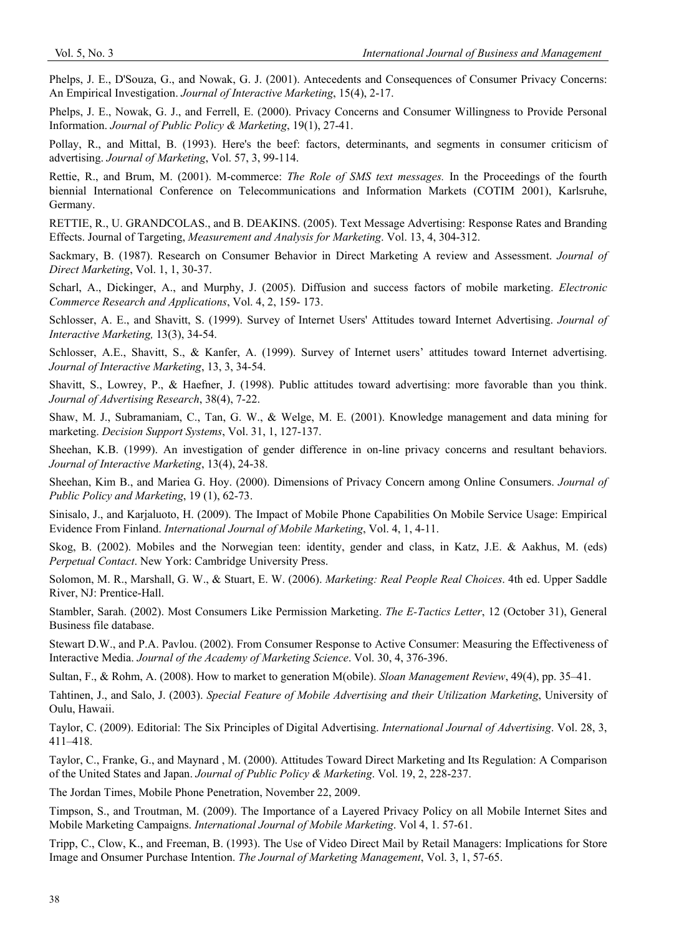Phelps, J. E., D'Souza, G., and Nowak, G. J. (2001). Antecedents and Consequences of Consumer Privacy Concerns: An Empirical Investigation. *Journal of Interactive Marketing*, 15(4), 2-17.

Phelps, J. E., Nowak, G. J., and Ferrell, E. (2000). Privacy Concerns and Consumer Willingness to Provide Personal Information. *Journal of Public Policy & Marketing*, 19(1), 27-41.

Pollay, R., and Mittal, B. (1993). Here's the beef: factors, determinants, and segments in consumer criticism of advertising. *Journal of Marketing*, Vol. 57, 3, 99-114.

Rettie, R., and Brum, M. (2001). M-commerce: *The Role of SMS text messages.* In the Proceedings of the fourth biennial International Conference on Telecommunications and Information Markets (COTIM 2001), Karlsruhe, Germany.

RETTIE, R., U. GRANDCOLAS., and B. DEAKINS. (2005). Text Message Advertising: Response Rates and Branding Effects. Journal of Targeting, *Measurement and Analysis for Marketing*. Vol. 13, 4, 304-312.

Sackmary, B. (1987). Research on Consumer Behavior in Direct Marketing A review and Assessment. *Journal of Direct Marketing*, Vol. 1, 1, 30-37.

Scharl, A., Dickinger, A., and Murphy, J. (2005). Diffusion and success factors of mobile marketing. *Electronic Commerce Research and Applications*, Vol. 4, 2, 159- 173.

Schlosser, A. E., and Shavitt, S. (1999). Survey of Internet Users' Attitudes toward Internet Advertising. *Journal of Interactive Marketing,* 13(3), 34-54.

Schlosser, A.E., Shavitt, S., & Kanfer, A. (1999). Survey of Internet users' attitudes toward Internet advertising. *Journal of Interactive Marketing*, 13, 3, 34-54.

Shavitt, S., Lowrey, P., & Haefner, J. (1998). Public attitudes toward advertising: more favorable than you think. *Journal of Advertising Research*, 38(4), 7-22.

Shaw, M. J., Subramaniam, C., Tan, G. W., & Welge, M. E. (2001). Knowledge management and data mining for marketing. *Decision Support Systems*, Vol. 31, 1, 127-137.

Sheehan, K.B. (1999). An investigation of gender difference in on-line privacy concerns and resultant behaviors. *Journal of Interactive Marketing*, 13(4), 24-38.

Sheehan, Kim B., and Mariea G. Hoy. (2000). Dimensions of Privacy Concern among Online Consumers. *Journal of Public Policy and Marketing*, 19 (1), 62-73.

Sinisalo, J., and Karjaluoto, H. (2009). The Impact of Mobile Phone Capabilities On Mobile Service Usage: Empirical Evidence From Finland. *International Journal of Mobile Marketing*, Vol. 4, 1, 4-11.

Skog, B. (2002). Mobiles and the Norwegian teen: identity, gender and class, in Katz, J.E. & Aakhus, M. (eds) *Perpetual Contact*. New York: Cambridge University Press.

Solomon, M. R., Marshall, G. W., & Stuart, E. W. (2006). *Marketing: Real People Real Choices*. 4th ed. Upper Saddle River, NJ: Prentice-Hall.

Stambler, Sarah. (2002). Most Consumers Like Permission Marketing. *The E-Tactics Letter*, 12 (October 31), General Business file database.

Stewart D.W., and P.A. Pavlou. (2002). From Consumer Response to Active Consumer: Measuring the Effectiveness of Interactive Media. *Journal of the Academy of Marketing Science*. Vol. 30, 4, 376-396.

Sultan, F., & Rohm, A. (2008). How to market to generation M(obile). *Sloan Management Review*, 49(4), pp. 35–41.

Tahtinen, J., and Salo, J. (2003). *Special Feature of Mobile Advertising and their Utilization Marketing*, University of Oulu, Hawaii.

Taylor, C. (2009). Editorial: The Six Principles of Digital Advertising. *International Journal of Advertising*. Vol. 28, 3, 411–418.

Taylor, C., Franke, G., and Maynard , M. (2000). Attitudes Toward Direct Marketing and Its Regulation: A Comparison of the United States and Japan. *Journal of Public Policy & Marketing*. Vol. 19, 2, 228-237.

The Jordan Times, Mobile Phone Penetration, November 22, 2009.

Timpson, S., and Troutman, M. (2009). The Importance of a Layered Privacy Policy on all Mobile Internet Sites and Mobile Marketing Campaigns. *International Journal of Mobile Marketing*. Vol 4, 1. 57-61.

Tripp, C., Clow, K., and Freeman, B. (1993). The Use of Video Direct Mail by Retail Managers: Implications for Store Image and Onsumer Purchase Intention. *The Journal of Marketing Management*, Vol. 3, 1, 57-65.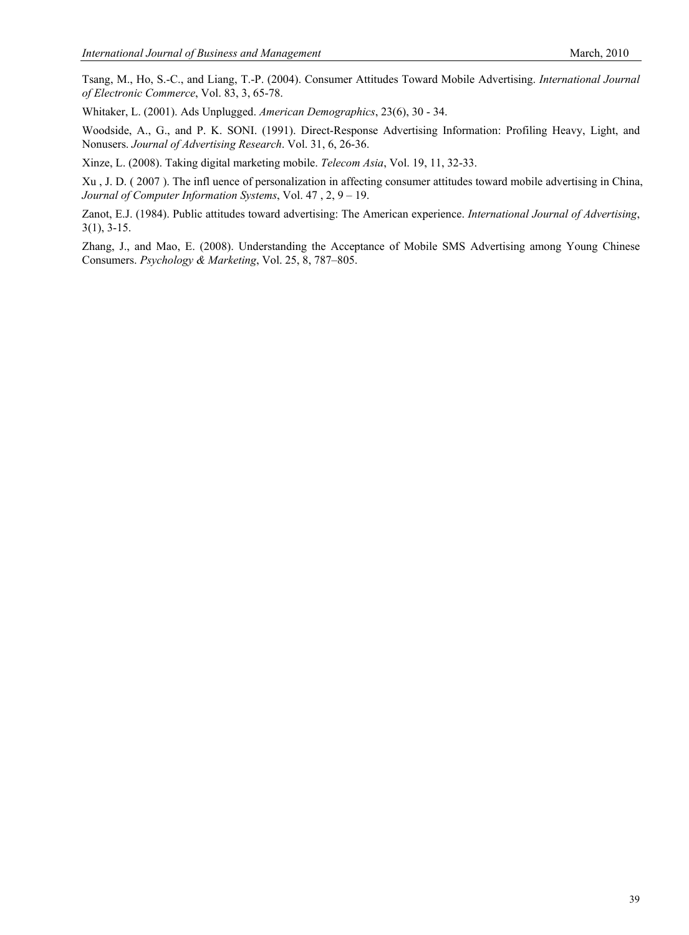Tsang, M., Ho, S.-C., and Liang, T.-P. (2004). Consumer Attitudes Toward Mobile Advertising. *International Journal of Electronic Commerce*, Vol. 83, 3, 65-78.

Whitaker, L. (2001). Ads Unplugged. *American Demographics*, 23(6), 30 - 34.

Woodside, A., G., and P. K. SONI. (1991). Direct-Response Advertising Information: Profiling Heavy, Light, and Nonusers. *Journal of Advertising Research*. Vol. 31, 6, 26-36.

Xinze, L. (2008). Taking digital marketing mobile. *Telecom Asia*, Vol. 19, 11, 32-33.

Xu , J. D. ( 2007 ). The infl uence of personalization in affecting consumer attitudes toward mobile advertising in China, *Journal of Computer Information Systems*, Vol. 47 , 2, 9 – 19.

Zanot, E.J. (1984). Public attitudes toward advertising: The American experience. *International Journal of Advertising*, 3(1), 3-15.

Zhang, J., and Mao, E. (2008). Understanding the Acceptance of Mobile SMS Advertising among Young Chinese Consumers. *Psychology & Marketing*, Vol. 25, 8, 787–805.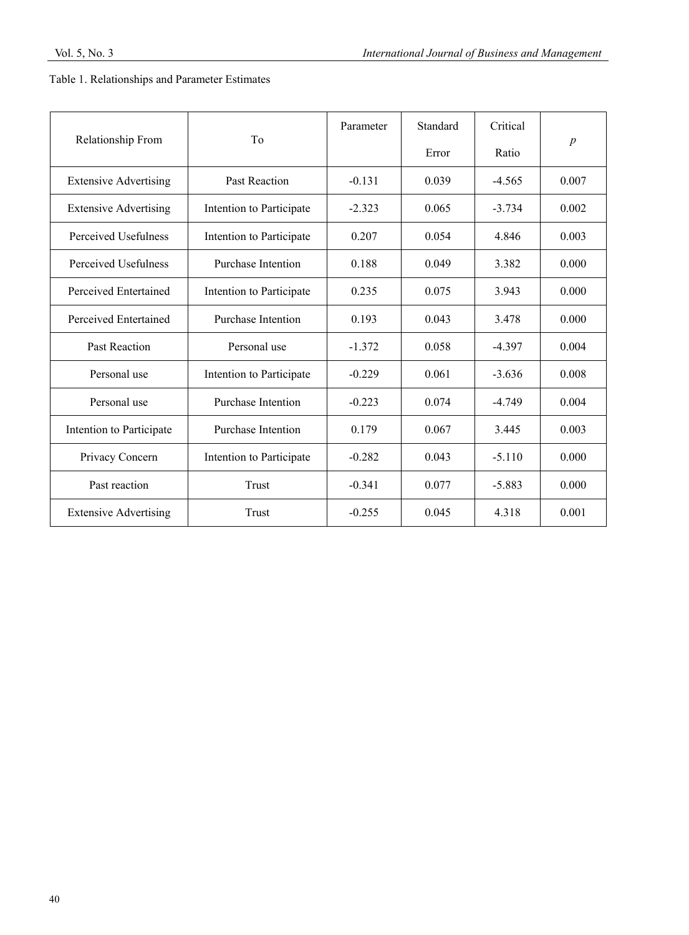# Table 1. Relationships and Parameter Estimates

| Relationship From            | T <sub>0</sub>            | Parameter | Standard | Critical | $\boldsymbol{p}$ |
|------------------------------|---------------------------|-----------|----------|----------|------------------|
|                              |                           |           | Error    | Ratio    |                  |
| <b>Extensive Advertising</b> | <b>Past Reaction</b>      | $-0.131$  | 0.039    | $-4.565$ | 0.007            |
| <b>Extensive Advertising</b> | Intention to Participate  | $-2.323$  | 0.065    | $-3.734$ | 0.002            |
| Perceived Usefulness         | Intention to Participate  | 0.207     | 0.054    | 4.846    | 0.003            |
| Perceived Usefulness         | Purchase Intention        | 0.188     | 0.049    | 3.382    | 0.000            |
| Perceived Entertained        | Intention to Participate  | 0.235     | 0.075    | 3.943    | 0.000            |
| Perceived Entertained        | <b>Purchase Intention</b> | 0.193     | 0.043    | 3.478    | 0.000            |
| <b>Past Reaction</b>         | Personal use              | $-1.372$  | 0.058    | $-4.397$ | 0.004            |
| Personal use                 | Intention to Participate  | $-0.229$  | 0.061    | $-3.636$ | 0.008            |
| Personal use                 | <b>Purchase Intention</b> | $-0.223$  | 0.074    | $-4.749$ | 0.004            |
| Intention to Participate     | <b>Purchase Intention</b> | 0.179     | 0.067    | 3.445    | 0.003            |
| Privacy Concern              | Intention to Participate  | $-0.282$  | 0.043    | $-5.110$ | 0.000            |
| Past reaction                | Trust                     | $-0.341$  | 0.077    | $-5.883$ | 0.000            |
| <b>Extensive Advertising</b> | Trust                     | $-0.255$  | 0.045    | 4.318    | 0.001            |